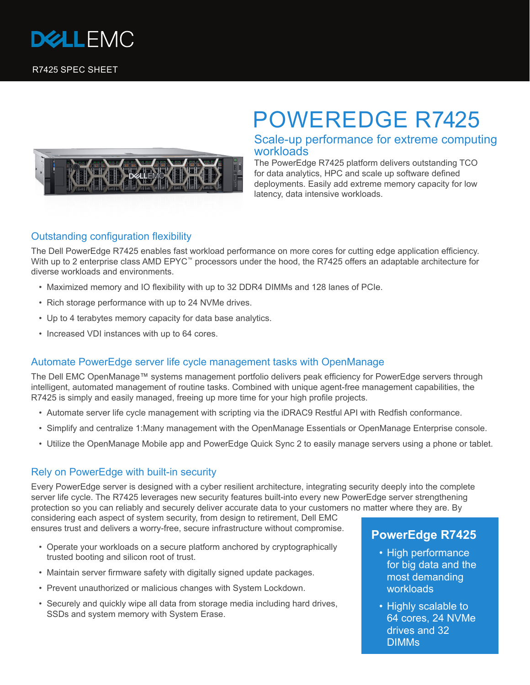



# POWEREDGE R7425

## Scale-up performance for extreme computing workloads

The PowerEdge R7425 platform delivers outstanding TCO for data analytics, HPC and scale up software defined deployments. Easily add extreme memory capacity for low latency, data intensive workloads.

## Outstanding configuration flexibility

The Dell PowerEdge R7425 enables fast workload performance on more cores for cutting edge application efficiency. With up to 2 enterprise class AMD EPYC<sup>™</sup> processors under the hood, the R7425 offers an adaptable architecture for diverse workloads and environments.

- Maximized memory and IO flexibility with up to 32 DDR4 DIMMs and 128 lanes of PCIe.
- Rich storage performance with up to 24 NVMe drives.
- Up to 4 terabytes memory capacity for data base analytics.
- Increased VDI instances with up to 64 cores.

#### Automate PowerEdge server life cycle management tasks with OpenManage

The Dell EMC OpenManage™ systems management portfolio delivers peak efficiency for PowerEdge servers through intelligent, automated management of routine tasks. Combined with unique agent-free management capabilities, the R7425 is simply and easily managed, freeing up more time for your high profile projects.

- Automate server life cycle management with scripting via the iDRAC9 Restful API with Redfish conformance.
- Simplify and centralize 1:Many management with the OpenManage Essentials or OpenManage Enterprise console.
- Utilize the OpenManage Mobile app and PowerEdge Quick Sync 2 to easily manage servers using a phone or tablet.

#### Rely on PowerEdge with built-in security

Every PowerEdge server is designed with a cyber resilient architecture, integrating security deeply into the complete server life cycle. The R7425 leverages new security features built-into every new PowerEdge server strengthening protection so you can reliably and securely deliver accurate data to your customers no matter where they are. By

considering each aspect of system security, from design to retirement, Dell EMC ensures trust and delivers a worry-free, secure infrastructure without compromise.

- Operate your workloads on a secure platform anchored by cryptographically trusted booting and silicon root of trust.
- Maintain server firmware safety with digitally signed update packages.
- Prevent unauthorized or malicious changes with System Lockdown.
- Securely and quickly wipe all data from storage media including hard drives, SSDs and system memory with System Erase.

## **PowerEdge R7425**

- High performance for big data and the most demanding workloads
- Highly scalable to 64 cores, 24 NVMe drives and 32 DIMMs